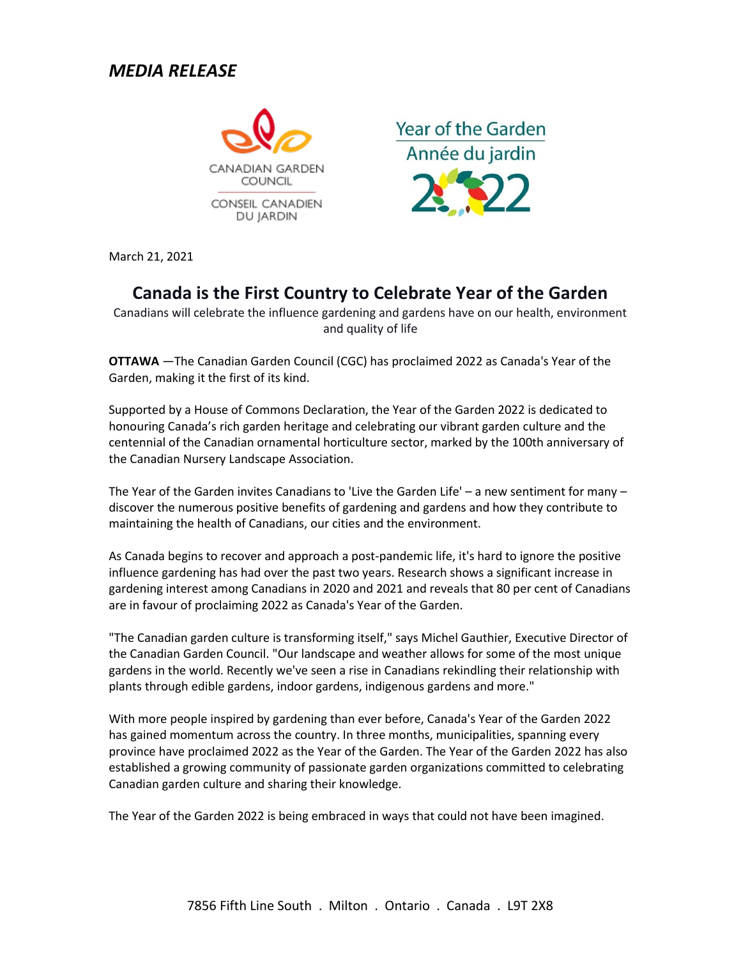## *MEDIA RELEASE*



**Year of the Garden** Année du jardin

March 21, 2021

# **Canada is the First Country to Celebrate Year of the Garden**

Canadians will celebrate the influence gardening and gardens have on our health, environment and quality of life

**OTTAWA** —The Canadian Garden Council (CGC) has proclaimed 2022 as Canada's Year of the Garden, making it the first of its kind.

Supported by a House of Commons Declaration, the Year of the Garden 2022 is dedicated to honouring Canada's rich garden heritage and celebrating our vibrant garden culture and the centennial of the Canadian ornamental horticulture sector, marked by the 100th anniversary of the Canadian Nursery Landscape Association.

The Year of the Garden invites Canadians to 'Live the Garden Life' – a new sentiment for many – discover the numerous positive benefits of gardening and gardens and how they contribute to maintaining the health of Canadians, our cities and the environment.

As Canada begins to recover and approach a post-pandemic life, it's hard to ignore the positive influence gardening has had over the past two years. Research shows a significant increase in gardening interest among Canadians in 2020 and 2021 and reveals that 80 per cent of Canadians are in favour of proclaiming 2022 as Canada's Year of the Garden.

"The Canadian garden culture is transforming itself," says Michel Gauthier, Executive Director of the Canadian Garden Council. "Our landscape and weather allows for some of the most unique gardens in the world. Recently we've seen a rise in Canadians rekindling their relationship with plants through edible gardens, indoor gardens, indigenous gardens and more."

With more people inspired by gardening than ever before, Canada's Year of the Garden 2022 has gained momentum across the country. In three months, municipalities, spanning every province have proclaimed 2022 as the Year of the Garden. The Year of the Garden 2022 has also established a growing community of passionate garden organizations committed to celebrating Canadian garden culture and sharing their knowledge.

The Year of the Garden 2022 is being embraced in ways that could not have been imagined.